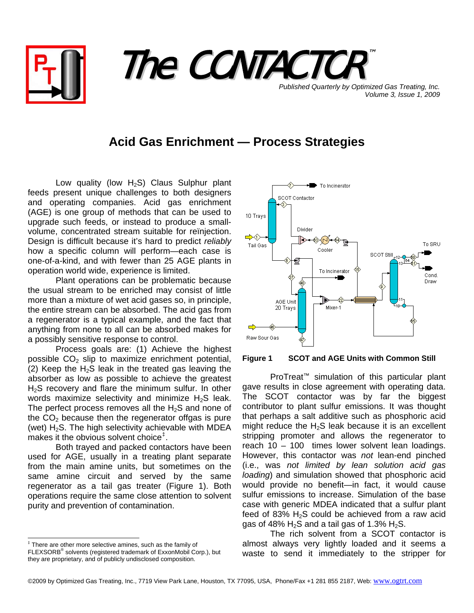



**Published Quarterly by Optimized Gas Treating, Inc.** *Volume 3, Issue 1, 2009*

## **Acid Gas Enrichment — Process Strategies**

Low quality (low  $H_2S$ ) Claus Sulphur plant feeds present unique challenges to both designers and operating companies. Acid gas enrichment (AGE) is one group of methods that can be used to upgrade such feeds, or instead to produce a smallvolume, concentrated stream suitable for reïnjection. Design is difficult because it's hard to predict *reliably* how a specific column will perform—each case is one-of-a-kind, and with fewer than 25 AGE plants in operation world wide, experience is limited.

Plant operations can be problematic because the usual stream to be enriched may consist of little more than a mixture of wet acid gases so, in principle, the entire stream can be absorbed. The acid gas from a regenerator is a typical example, and the fact that anything from none to all can be absorbed makes for a possibly sensitive response to control.

Process goals are: (1) Achieve the highest possible  $CO<sub>2</sub>$  slip to maximize enrichment potential, (2) Keep the  $H_2S$  leak in the treated gas leaving the absorber as low as possible to achieve the greatest H<sub>2</sub>S recovery and flare the minimum sulfur. In other words maximize selectivity and minimize  $H_2S$  leak. The perfect process removes all the  $H_2S$  and none of the  $CO<sub>2</sub>$  because then the regenerator offgas is pure (wet)  $H_2S$ . The high selectivity achievable with MDEA makes it the obvious solvent choice<sup>[‡](#page-0-0)</sup>.

Both trayed and packed contactors have been used for AGE, usually in a treating plant separate from the main amine units, but sometimes on the same amine circuit and served by the same regenerator as a tail gas treater (Figure 1). Both operations require the same close attention to solvent purity and prevention of contamination.



**Figure 1 SCOT and AGE Units with Common Still** 

 ProTreat™ simulation of this particular plant gave results in close agreement with operating data. The SCOT contactor was by far the biggest contributor to plant sulfur emissions. It was thought that perhaps a salt additive such as phosphoric acid might reduce the  $H_2S$  leak because it is an excellent stripping promoter and allows the regenerator to reach 10 – 100 times lower solvent lean loadings. However, this contactor was *not* lean-end pinched (i.e., was *not limited by lean solution acid gas loading*) and simulation showed that phosphoric acid would provide no benefit—in fact, it would cause sulfur emissions to increase. Simulation of the base case with generic MDEA indicated that a sulfur plant feed of 83%  $H_2S$  could be achieved from a raw acid gas of 48%  $H_2S$  and a tail gas of 1.3%  $H_2S$ .

 The rich solvent from a SCOT contactor is almost always very lightly loaded and it seems a waste to send it immediately to the stripper for

<span id="page-0-0"></span> ‡ There are other more selective amines, such as the family of FLEXSORB® solvents (registered trademark of ExxonMobil Corp.), but they are proprietary, and of publicly undisclosed composition.